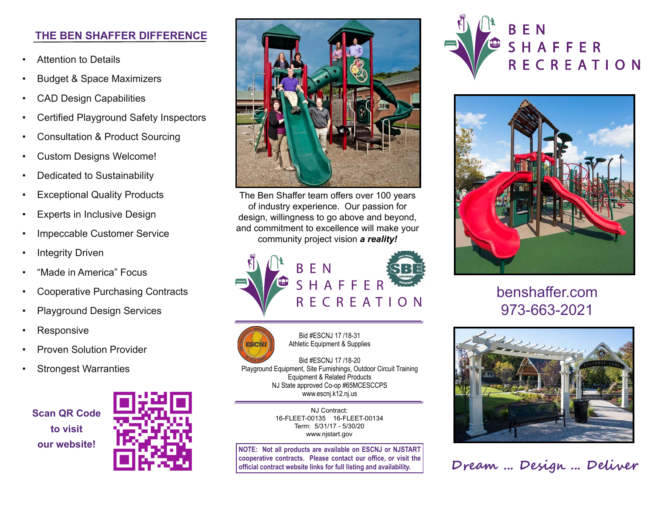## **THE BEN SHAFFER DIFFERENCE**

- Attention to Details
- Budget & Space Maximizers
- CAD Design Capabilities
- Certified Playground Safety Inspectors
- Consultation & Product Sourcing
- Custom Designs Welcome!
- Dedicated to Sustainability
- Exceptional Quality Products
- **Experts in Inclusive Design**
- Impeccable Customer Service
- **Integrity Driven**
- "Made in America" Focus
- Cooperative Purchasing Contracts
- Playground Design Services
- Responsive
- Proven Solution Provider
- **Strongest Warranties**

**to visit**





The Ben Shaffer team offers over 100 years of industry experience. Our passion for design, willingness to go above and beyond, and commitment to excellence will make your community project vision *a reality!*





Bid #ESCNJ 17 /18-31 Athletic Equipment & Supplies

Bid #ESCNJ 17 /18-20 [Playground Equipment, Site Furnishings, Outdoor Circuit Training](http://www.mresc.k12.nj.us/pages/Middlesex_Regional/Cooperative_Pricing/Co_op)  Equipment & Related Products NJ State approved Co-op #65MCESCCPS [www.escnj.k12.nj.us](http://www.escnj.k12.nj.us)

> NJ Contract: [16-FLEET-00135 16-FLEET-00134](http://www.njstart.gov) Term: 5/31/17 - 5/30/20 www.njstart.gov

**NOTE: Not all products are available on ESCNJ or NJSTART cooperative contracts. Please contact our office, or visit the official contract website links for full listing and availability.**





## [benshaffer.com](http://www.benshaffer.com/) 973-663-2021



**Dream ... Design ... Deliver**